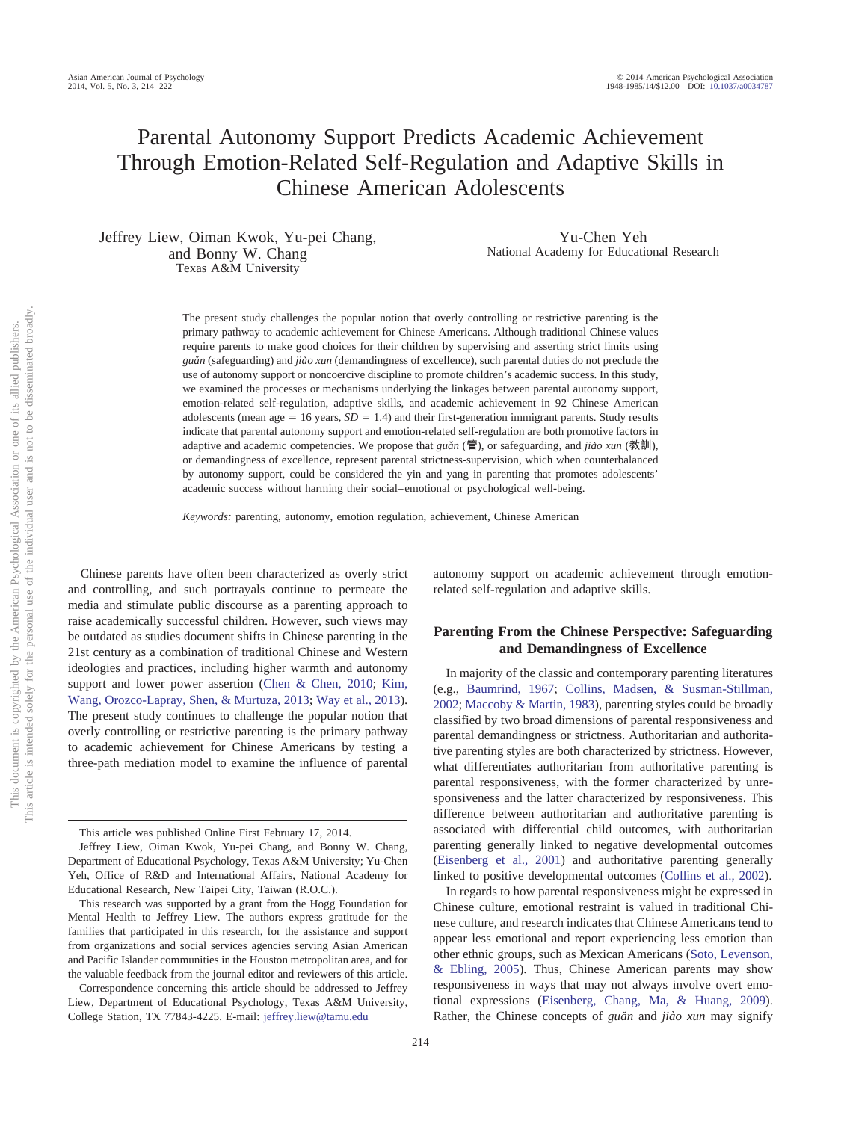# Parental Autonomy Support Predicts Academic Achievement Through Emotion-Related Self-Regulation and Adaptive Skills in Chinese American Adolescents

Jeffrey Liew, Oiman Kwok, Yu-pei Chang, and Bonny W. Chang Texas A&M University

Yu-Chen Yeh National Academy for Educational Research

The present study challenges the popular notion that overly controlling or restrictive parenting is the primary pathway to academic achievement for Chinese Americans. Although traditional Chinese values require parents to make good choices for their children by supervising and asserting strict limits using *guaˇn* (safeguarding) and *jia`o xun* (demandingness of excellence), such parental duties do not preclude the use of autonomy support or noncoercive discipline to promote children's academic success. In this study, we examined the processes or mechanisms underlying the linkages between parental autonomy support, emotion-related self-regulation, adaptive skills, and academic achievement in 92 Chinese American adolescents (mean age  $= 16$  years,  $SD = 1.4$ ) and their first-generation immigrant parents. Study results indicate that parental autonomy support and emotion-related self-regulation are both promotive factors in adaptive and academic competencies. We propose that *guǎn* (管), or safeguarding, and *jiào xun* (教訓), or demandingness of excellence, represent parental strictness-supervision, which when counterbalanced by autonomy support, could be considered the yin and yang in parenting that promotes adolescents' academic success without harming their social– emotional or psychological well-being.

*Keywords:* parenting, autonomy, emotion regulation, achievement, Chinese American

Chinese parents have often been characterized as overly strict and controlling, and such portrayals continue to permeate the media and stimulate public discourse as a parenting approach to raise academically successful children. However, such views may be outdated as studies document shifts in Chinese parenting in the 21st century as a combination of traditional Chinese and Western ideologies and practices, including higher warmth and autonomy support and lower power assertion [\(Chen & Chen, 2010;](#page-6-0) [Kim,](#page-7-0) [Wang, Orozco-Lapray, Shen, & Murtuza, 2013;](#page-7-0) [Way et al., 2013\)](#page-8-0). The present study continues to challenge the popular notion that overly controlling or restrictive parenting is the primary pathway to academic achievement for Chinese Americans by testing a three-path mediation model to examine the influence of parental

autonomy support on academic achievement through emotionrelated self-regulation and adaptive skills.

# **Parenting From the Chinese Perspective: Safeguarding and Demandingness of Excellence**

In majority of the classic and contemporary parenting literatures (e.g., [Baumrind, 1967;](#page-6-1) [Collins, Madsen, & Susman-Stillman,](#page-6-2) [2002;](#page-6-2) [Maccoby & Martin, 1983\)](#page-7-1), parenting styles could be broadly classified by two broad dimensions of parental responsiveness and parental demandingness or strictness. Authoritarian and authoritative parenting styles are both characterized by strictness. However, what differentiates authoritarian from authoritative parenting is parental responsiveness, with the former characterized by unresponsiveness and the latter characterized by responsiveness. This difference between authoritarian and authoritative parenting is associated with differential child outcomes, with authoritarian parenting generally linked to negative developmental outcomes [\(Eisenberg et al., 2001\)](#page-6-3) and authoritative parenting generally linked to positive developmental outcomes [\(Collins et al., 2002\)](#page-6-2).

In regards to how parental responsiveness might be expressed in Chinese culture, emotional restraint is valued in traditional Chinese culture, and research indicates that Chinese Americans tend to appear less emotional and report experiencing less emotion than other ethnic groups, such as Mexican Americans [\(Soto, Levenson,](#page-7-2) [& Ebling, 2005\)](#page-7-2). Thus, Chinese American parents may show responsiveness in ways that may not always involve overt emotional expressions [\(Eisenberg, Chang, Ma, & Huang, 2009\)](#page-6-4). Rather, the Chinese concepts of *guǎn* and *jiào xun* may signify

This article was published Online First February 17, 2014.

Jeffrey Liew, Oiman Kwok, Yu-pei Chang, and Bonny W. Chang, Department of Educational Psychology, Texas A&M University; Yu-Chen Yeh, Office of R&D and International Affairs, National Academy for Educational Research, New Taipei City, Taiwan (R.O.C.).

This research was supported by a grant from the Hogg Foundation for Mental Health to Jeffrey Liew. The authors express gratitude for the families that participated in this research, for the assistance and support from organizations and social services agencies serving Asian American and Pacific Islander communities in the Houston metropolitan area, and for the valuable feedback from the journal editor and reviewers of this article.

Correspondence concerning this article should be addressed to Jeffrey Liew, Department of Educational Psychology, Texas A&M University, College Station, TX 77843-4225. E-mail: [jeffrey.liew@tamu.edu](mailto:jeffrey.liew@tamu.edu)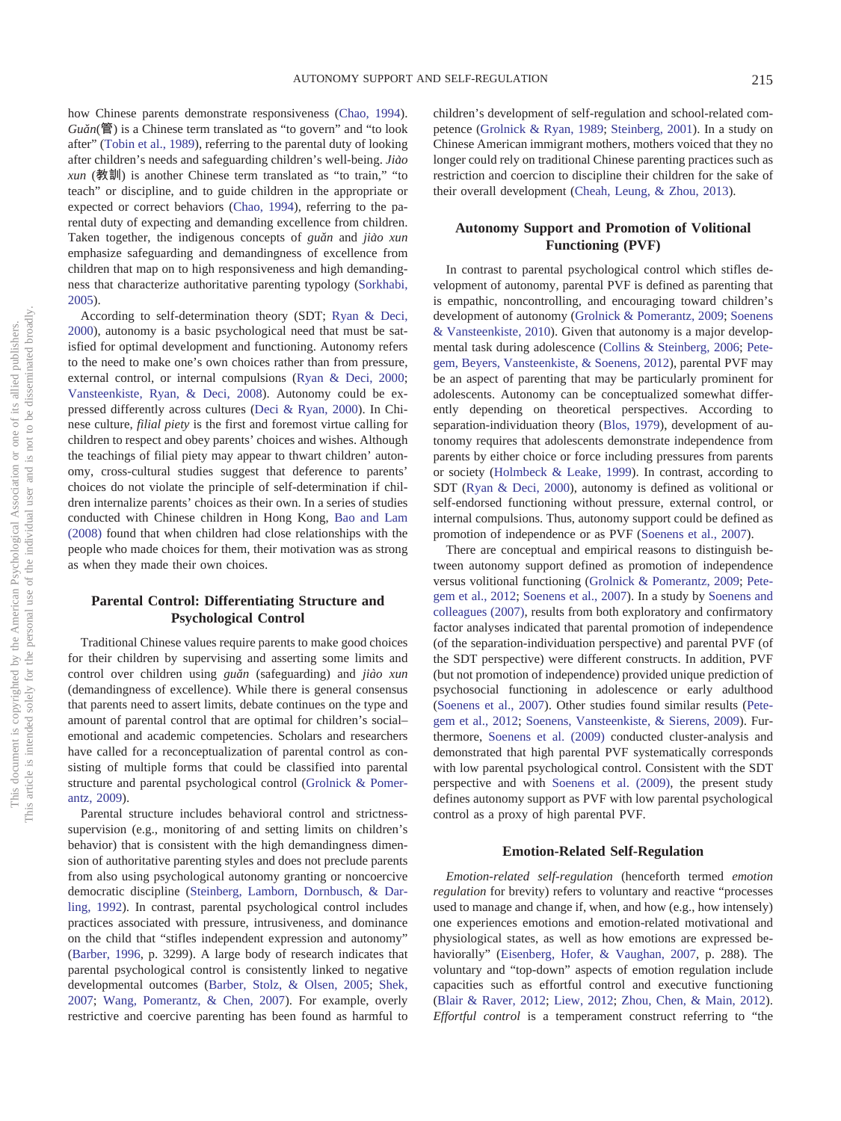how Chinese parents demonstrate responsiveness [\(Chao, 1994\)](#page-6-5). *Guaˇn*(管) is a Chinese term translated as "to govern" and "to look after" [\(Tobin et al., 1989\)](#page-7-3), referring to the parental duty of looking after children's needs and safeguarding children's well-being. *Jia`o xun* (教訓) is another Chinese term translated as "to train," "to teach" or discipline, and to guide children in the appropriate or expected or correct behaviors [\(Chao, 1994\)](#page-6-5), referring to the parental duty of expecting and demanding excellence from children. Taken together, the indigenous concepts of *guǎn* and *jiào xun* emphasize safeguarding and demandingness of excellence from children that map on to high responsiveness and high demandingness that characterize authoritative parenting typology [\(Sorkhabi,](#page-7-4) [2005\)](#page-7-4).

According to self-determination theory (SDT; [Ryan & Deci,](#page-7-5) [2000\)](#page-7-5), autonomy is a basic psychological need that must be satisfied for optimal development and functioning. Autonomy refers to the need to make one's own choices rather than from pressure, external control, or internal compulsions [\(Ryan & Deci, 2000;](#page-7-5) [Vansteenkiste, Ryan, & Deci, 2008\)](#page-7-6). Autonomy could be expressed differently across cultures [\(Deci & Ryan, 2000\)](#page-6-6). In Chinese culture, *filial piety* is the first and foremost virtue calling for children to respect and obey parents' choices and wishes. Although the teachings of filial piety may appear to thwart children' autonomy, cross-cultural studies suggest that deference to parents' choices do not violate the principle of self-determination if children internalize parents' choices as their own. In a series of studies conducted with Chinese children in Hong Kong, [Bao and Lam](#page-6-7) [\(2008\)](#page-6-7) found that when children had close relationships with the people who made choices for them, their motivation was as strong as when they made their own choices.

# **Parental Control: Differentiating Structure and Psychological Control**

Traditional Chinese values require parents to make good choices for their children by supervising and asserting some limits and control over children using *guǎn* (safeguarding) and *jiào xun* (demandingness of excellence). While there is general consensus that parents need to assert limits, debate continues on the type and amount of parental control that are optimal for children's social– emotional and academic competencies. Scholars and researchers have called for a reconceptualization of parental control as consisting of multiple forms that could be classified into parental structure and parental psychological control [\(Grolnick & Pomer](#page-7-7)[antz, 2009\)](#page-7-7).

Parental structure includes behavioral control and strictnesssupervision (e.g., monitoring of and setting limits on children's behavior) that is consistent with the high demandingness dimension of authoritative parenting styles and does not preclude parents from also using psychological autonomy granting or noncoercive democratic discipline [\(Steinberg, Lamborn, Dornbusch, & Dar](#page-7-8)[ling, 1992\)](#page-7-8). In contrast, parental psychological control includes practices associated with pressure, intrusiveness, and dominance on the child that "stifles independent expression and autonomy" [\(Barber, 1996,](#page-6-8) p. 3299). A large body of research indicates that parental psychological control is consistently linked to negative developmental outcomes [\(Barber, Stolz, & Olsen, 2005;](#page-6-9) [Shek,](#page-7-9) [2007;](#page-7-9) [Wang, Pomerantz, & Chen, 2007\)](#page-7-10). For example, overly restrictive and coercive parenting has been found as harmful to

children's development of self-regulation and school-related competence [\(Grolnick & Ryan, 1989;](#page-7-11) [Steinberg, 2001\)](#page-7-12). In a study on Chinese American immigrant mothers, mothers voiced that they no longer could rely on traditional Chinese parenting practices such as restriction and coercion to discipline their children for the sake of their overall development [\(Cheah, Leung, & Zhou, 2013\)](#page-6-10).

# **Autonomy Support and Promotion of Volitional Functioning (PVF)**

In contrast to parental psychological control which stifles development of autonomy, parental PVF is defined as parenting that is empathic, noncontrolling, and encouraging toward children's development of autonomy [\(Grolnick & Pomerantz, 2009;](#page-7-7) [Soenens](#page-7-13) [& Vansteenkiste, 2010\)](#page-7-13). Given that autonomy is a major developmental task during adolescence [\(Collins & Steinberg, 2006;](#page-6-11) [Pete](#page-7-14)[gem, Beyers, Vansteenkiste, & Soenens, 2012\)](#page-7-14), parental PVF may be an aspect of parenting that may be particularly prominent for adolescents. Autonomy can be conceptualized somewhat differently depending on theoretical perspectives. According to separation-individuation theory [\(Blos, 1979\)](#page-6-12), development of autonomy requires that adolescents demonstrate independence from parents by either choice or force including pressures from parents or society [\(Holmbeck & Leake, 1999\)](#page-7-15). In contrast, according to SDT [\(Ryan & Deci, 2000\)](#page-7-5), autonomy is defined as volitional or self-endorsed functioning without pressure, external control, or internal compulsions. Thus, autonomy support could be defined as promotion of independence or as PVF [\(Soenens et al., 2007\)](#page-7-16).

There are conceptual and empirical reasons to distinguish between autonomy support defined as promotion of independence versus volitional functioning [\(Grolnick & Pomerantz, 2009;](#page-7-7) [Pete](#page-7-14)[gem et al., 2012;](#page-7-14) [Soenens et al., 2007\)](#page-7-16). In a study by [Soenens and](#page-7-16) [colleagues \(2007\),](#page-7-16) results from both exploratory and confirmatory factor analyses indicated that parental promotion of independence (of the separation-individuation perspective) and parental PVF (of the SDT perspective) were different constructs. In addition, PVF (but not promotion of independence) provided unique prediction of psychosocial functioning in adolescence or early adulthood [\(Soenens et al., 2007\)](#page-7-16). Other studies found similar results [\(Pete](#page-7-14)[gem et al., 2012;](#page-7-14) [Soenens, Vansteenkiste, & Sierens, 2009\)](#page-7-17). Furthermore, [Soenens et al. \(2009\)](#page-7-17) conducted cluster-analysis and demonstrated that high parental PVF systematically corresponds with low parental psychological control. Consistent with the SDT perspective and with [Soenens et al. \(2009\),](#page-7-17) the present study defines autonomy support as PVF with low parental psychological control as a proxy of high parental PVF.

## **Emotion-Related Self-Regulation**

*Emotion-related self-regulation* (henceforth termed *emotion regulation* for brevity) refers to voluntary and reactive "processes used to manage and change if, when, and how (e.g., how intensely) one experiences emotions and emotion-related motivational and physiological states, as well as how emotions are expressed behaviorally" [\(Eisenberg, Hofer, & Vaughan, 2007,](#page-6-13) p. 288). The voluntary and "top-down" aspects of emotion regulation include capacities such as effortful control and executive functioning [\(Blair & Raver, 2012;](#page-6-14) [Liew, 2012;](#page-7-18) [Zhou, Chen, & Main, 2012\)](#page-8-1). *Effortful control* is a temperament construct referring to "the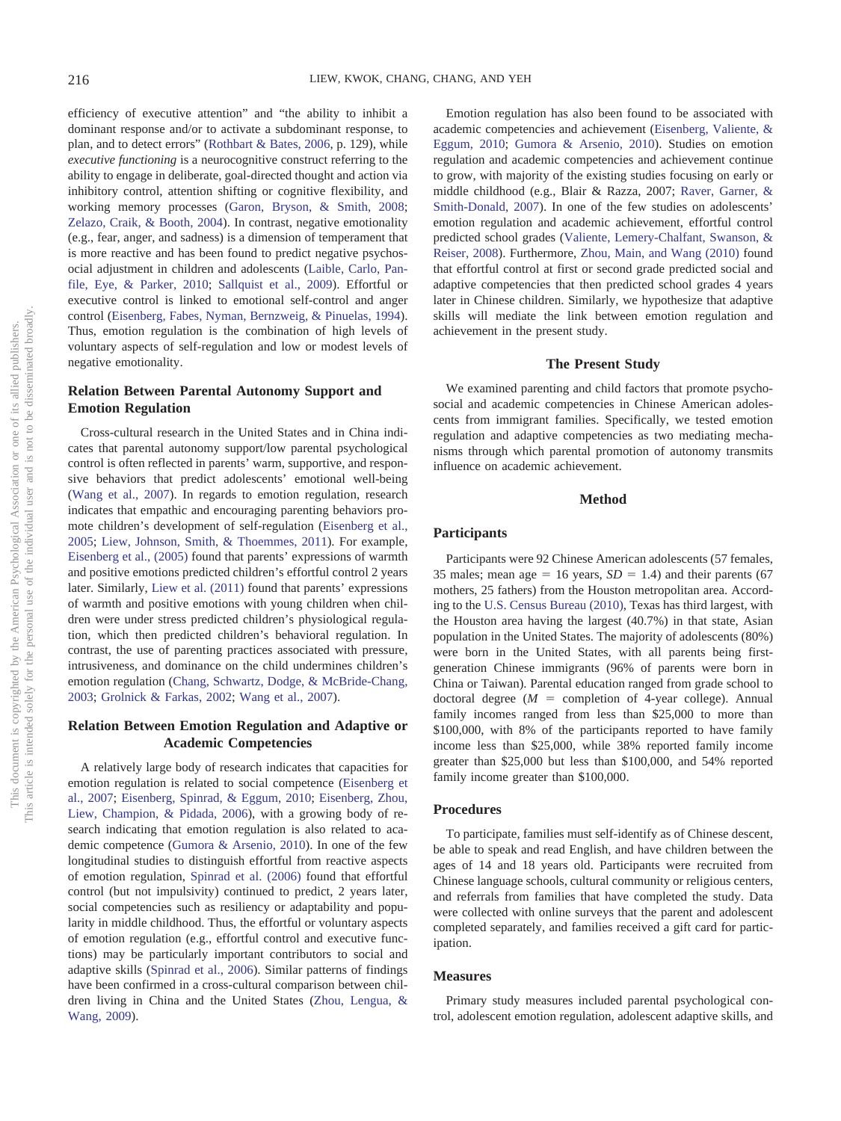efficiency of executive attention" and "the ability to inhibit a dominant response and/or to activate a subdominant response, to plan, and to detect errors" [\(Rothbart & Bates, 2006,](#page-7-19) p. 129), while *executive functioning* is a neurocognitive construct referring to the ability to engage in deliberate, goal-directed thought and action via inhibitory control, attention shifting or cognitive flexibility, and working memory processes [\(Garon, Bryson, & Smith, 2008;](#page-6-15) [Zelazo, Craik, & Booth, 2004\)](#page-8-2). In contrast, negative emotionality (e.g., fear, anger, and sadness) is a dimension of temperament that is more reactive and has been found to predict negative psychosocial adjustment in children and adolescents [\(Laible, Carlo, Pan](#page-7-20)[file, Eye, & Parker, 2010;](#page-7-20) [Sallquist et al., 2009\)](#page-7-21). Effortful or executive control is linked to emotional self-control and anger control [\(Eisenberg, Fabes, Nyman, Bernzweig, & Pinuelas, 1994\)](#page-6-16). Thus, emotion regulation is the combination of high levels of voluntary aspects of self-regulation and low or modest levels of negative emotionality.

# **Relation Between Parental Autonomy Support and Emotion Regulation**

Cross-cultural research in the United States and in China indicates that parental autonomy support/low parental psychological control is often reflected in parents' warm, supportive, and responsive behaviors that predict adolescents' emotional well-being [\(Wang et al., 2007\)](#page-7-10). In regards to emotion regulation, research indicates that empathic and encouraging parenting behaviors promote children's development of self-regulation [\(Eisenberg et al.,](#page-6-17) [2005;](#page-6-17) [Liew, Johnson, Smith, & Thoemmes, 2011\)](#page-7-22). For example, [Eisenberg et al., \(2005\)](#page-6-17) found that parents' expressions of warmth and positive emotions predicted children's effortful control 2 years later. Similarly, [Liew et al. \(2011\)](#page-7-22) found that parents' expressions of warmth and positive emotions with young children when children were under stress predicted children's physiological regulation, which then predicted children's behavioral regulation. In contrast, the use of parenting practices associated with pressure, intrusiveness, and dominance on the child undermines children's emotion regulation [\(Chang, Schwartz, Dodge, & McBride-Chang,](#page-6-18) [2003;](#page-6-18) [Grolnick & Farkas, 2002;](#page-6-19) [Wang et al., 2007\)](#page-7-10).

# **Relation Between Emotion Regulation and Adaptive or Academic Competencies**

A relatively large body of research indicates that capacities for emotion regulation is related to social competence [\(Eisenberg et](#page-6-13) [al., 2007;](#page-6-13) [Eisenberg, Spinrad, & Eggum, 2010;](#page-6-20) [Eisenberg, Zhou,](#page-6-21) [Liew, Champion, & Pidada, 2006\)](#page-6-21), with a growing body of research indicating that emotion regulation is also related to academic competence [\(Gumora & Arsenio, 2010\)](#page-7-23). In one of the few longitudinal studies to distinguish effortful from reactive aspects of emotion regulation, [Spinrad et al. \(2006\)](#page-7-24) found that effortful control (but not impulsivity) continued to predict, 2 years later, social competencies such as resiliency or adaptability and popularity in middle childhood. Thus, the effortful or voluntary aspects of emotion regulation (e.g., effortful control and executive functions) may be particularly important contributors to social and adaptive skills [\(Spinrad et al., 2006\)](#page-7-24). Similar patterns of findings have been confirmed in a cross-cultural comparison between children living in China and the United States [\(Zhou, Lengua, &](#page-8-3) [Wang, 2009\)](#page-8-3).

Emotion regulation has also been found to be associated with academic competencies and achievement [\(Eisenberg, Valiente, &](#page-6-22) [Eggum, 2010;](#page-6-22) [Gumora & Arsenio, 2010\)](#page-7-23). Studies on emotion regulation and academic competencies and achievement continue to grow, with majority of the existing studies focusing on early or middle childhood (e.g., Blair & Razza, 2007; [Raver, Garner, &](#page-7-25) [Smith-Donald, 2007\)](#page-7-25). In one of the few studies on adolescents' emotion regulation and academic achievement, effortful control predicted school grades [\(Valiente, Lemery-Chalfant, Swanson, &](#page-7-26) [Reiser, 2008\)](#page-7-26). Furthermore, [Zhou, Main, and Wang \(2010\)](#page-8-4) found that effortful control at first or second grade predicted social and adaptive competencies that then predicted school grades 4 years later in Chinese children. Similarly, we hypothesize that adaptive skills will mediate the link between emotion regulation and achievement in the present study.

## **The Present Study**

We examined parenting and child factors that promote psychosocial and academic competencies in Chinese American adolescents from immigrant families. Specifically, we tested emotion regulation and adaptive competencies as two mediating mechanisms through which parental promotion of autonomy transmits influence on academic achievement.

## **Method**

## **Participants**

Participants were 92 Chinese American adolescents (57 females, 35 males; mean age  $= 16$  years,  $SD = 1.4$ ) and their parents (67) mothers, 25 fathers) from the Houston metropolitan area. According to the [U.S. Census Bureau \(2010\),](#page-7-27) Texas has third largest, with the Houston area having the largest (40.7%) in that state, Asian population in the United States. The majority of adolescents (80%) were born in the United States, with all parents being firstgeneration Chinese immigrants (96% of parents were born in China or Taiwan). Parental education ranged from grade school to doctoral degree  $(M =$  completion of 4-year college). Annual family incomes ranged from less than \$25,000 to more than \$100,000, with 8% of the participants reported to have family income less than \$25,000, while 38% reported family income greater than \$25,000 but less than \$100,000, and 54% reported family income greater than \$100,000.

#### **Procedures**

To participate, families must self-identify as of Chinese descent, be able to speak and read English, and have children between the ages of 14 and 18 years old. Participants were recruited from Chinese language schools, cultural community or religious centers, and referrals from families that have completed the study. Data were collected with online surveys that the parent and adolescent completed separately, and families received a gift card for participation.

## **Measures**

Primary study measures included parental psychological control, adolescent emotion regulation, adolescent adaptive skills, and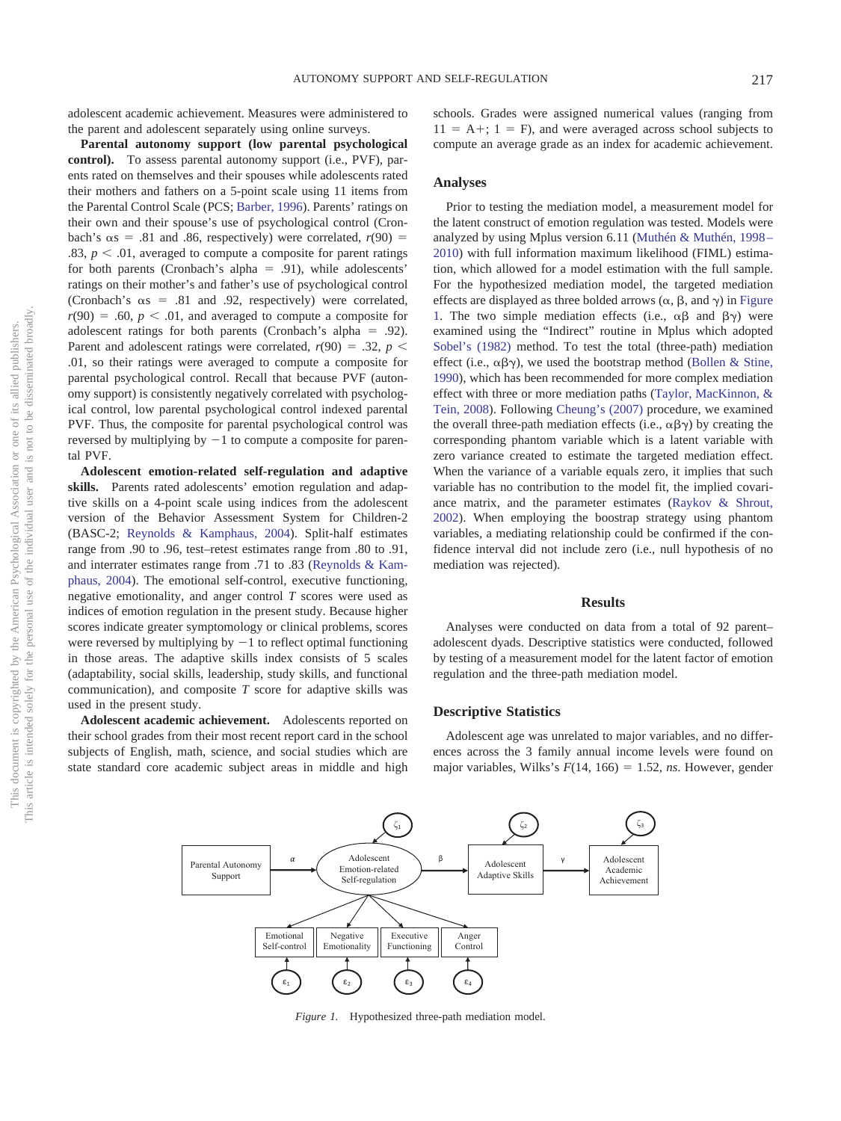adolescent academic achievement. Measures were administered to the parent and adolescent separately using online surveys.

**Parental autonomy support (low parental psychological control).** To assess parental autonomy support (i.e., PVF), parents rated on themselves and their spouses while adolescents rated their mothers and fathers on a 5-point scale using 11 items from the Parental Control Scale (PCS; [Barber, 1996\)](#page-6-8). Parents' ratings on their own and their spouse's use of psychological control (Cronbach's  $\alpha s = .81$  and .86, respectively) were correlated,  $r(90) =$ .83,  $p < .01$ , averaged to compute a composite for parent ratings for both parents (Cronbach's alpha  $= .91$ ), while adolescents' ratings on their mother's and father's use of psychological control (Cronbach's  $\alpha s = .81$  and .92, respectively) were correlated,  $r(90) = .60, p < .01$ , and averaged to compute a composite for adolescent ratings for both parents (Cronbach's alpha = .92). Parent and adolescent ratings were correlated,  $r(90) = .32$ ,  $p <$ .01, so their ratings were averaged to compute a composite for parental psychological control. Recall that because PVF (autonomy support) is consistently negatively correlated with psychological control, low parental psychological control indexed parental PVF. Thus, the composite for parental psychological control was reversed by multiplying by  $-1$  to compute a composite for parental PVF.

**Adolescent emotion-related self-regulation and adaptive skills.** Parents rated adolescents' emotion regulation and adaptive skills on a 4-point scale using indices from the adolescent version of the Behavior Assessment System for Children-2 (BASC-2; [Reynolds & Kamphaus, 2004\)](#page-7-28). Split-half estimates range from .90 to .96, test–retest estimates range from .80 to .91, and interrater estimates range from .71 to .83 [\(Reynolds & Kam](#page-7-28)[phaus, 2004\)](#page-7-28). The emotional self-control, executive functioning, negative emotionality, and anger control *T* scores were used as indices of emotion regulation in the present study. Because higher scores indicate greater symptomology or clinical problems, scores were reversed by multiplying by  $-1$  to reflect optimal functioning in those areas. The adaptive skills index consists of 5 scales (adaptability, social skills, leadership, study skills, and functional communication), and composite *T* score for adaptive skills was used in the present study.

**Adolescent academic achievement.** Adolescents reported on their school grades from their most recent report card in the school subjects of English, math, science, and social studies which are state standard core academic subject areas in middle and high schools. Grades were assigned numerical values (ranging from  $11 = A +$ ;  $1 = F$ ), and were averaged across school subjects to compute an average grade as an index for academic achievement.

#### **Analyses**

Prior to testing the mediation model, a measurement model for the latent construct of emotion regulation was tested. Models were analyzed by using Mplus version 6.11 [\(Muthén & Muthén, 1998 –](#page-7-29) [2010\)](#page-7-29) with full information maximum likelihood (FIML) estimation, which allowed for a model estimation with the full sample. For the hypothesized mediation model, the targeted mediation effects are displayed as three bolded arrows  $(\alpha, \beta, \text{ and } \gamma)$  in [Figure](#page-3-0) [1.](#page-3-0) The two simple mediation effects (i.e.,  $\alpha\beta$  and  $\beta\gamma$ ) were examined using the "Indirect" routine in Mplus which adopted [Sobel's \(1982\)](#page-7-30) method. To test the total (three-path) mediation effect (i.e.,  $\alpha\beta\gamma$ ), we used the bootstrap method [\(Bollen & Stine,](#page-6-23) [1990\)](#page-6-23), which has been recommended for more complex mediation effect with three or more mediation paths [\(Taylor, MacKinnon, &](#page-7-31) [Tein, 2008\)](#page-7-31). Following [Cheung's \(2007\)](#page-6-24) procedure, we examined the overall three-path mediation effects (i.e.,  $\alpha\beta\gamma$ ) by creating the corresponding phantom variable which is a latent variable with zero variance created to estimate the targeted mediation effect. When the variance of a variable equals zero, it implies that such variable has no contribution to the model fit, the implied covariance matrix, and the parameter estimates [\(Raykov & Shrout,](#page-7-32) [2002\)](#page-7-32). When employing the boostrap strategy using phantom variables, a mediating relationship could be confirmed if the confidence interval did not include zero (i.e., null hypothesis of no mediation was rejected).

#### **Results**

Analyses were conducted on data from a total of 92 parent– adolescent dyads. Descriptive statistics were conducted, followed by testing of a measurement model for the latent factor of emotion regulation and the three-path mediation model.

#### **Descriptive Statistics**

Adolescent age was unrelated to major variables, and no differences across the 3 family annual income levels were found on major variables, Wilks's  $F(14, 166) = 1.52$ , *ns*. However, gender



<span id="page-3-0"></span>*Figure 1.* Hypothesized three-path mediation model.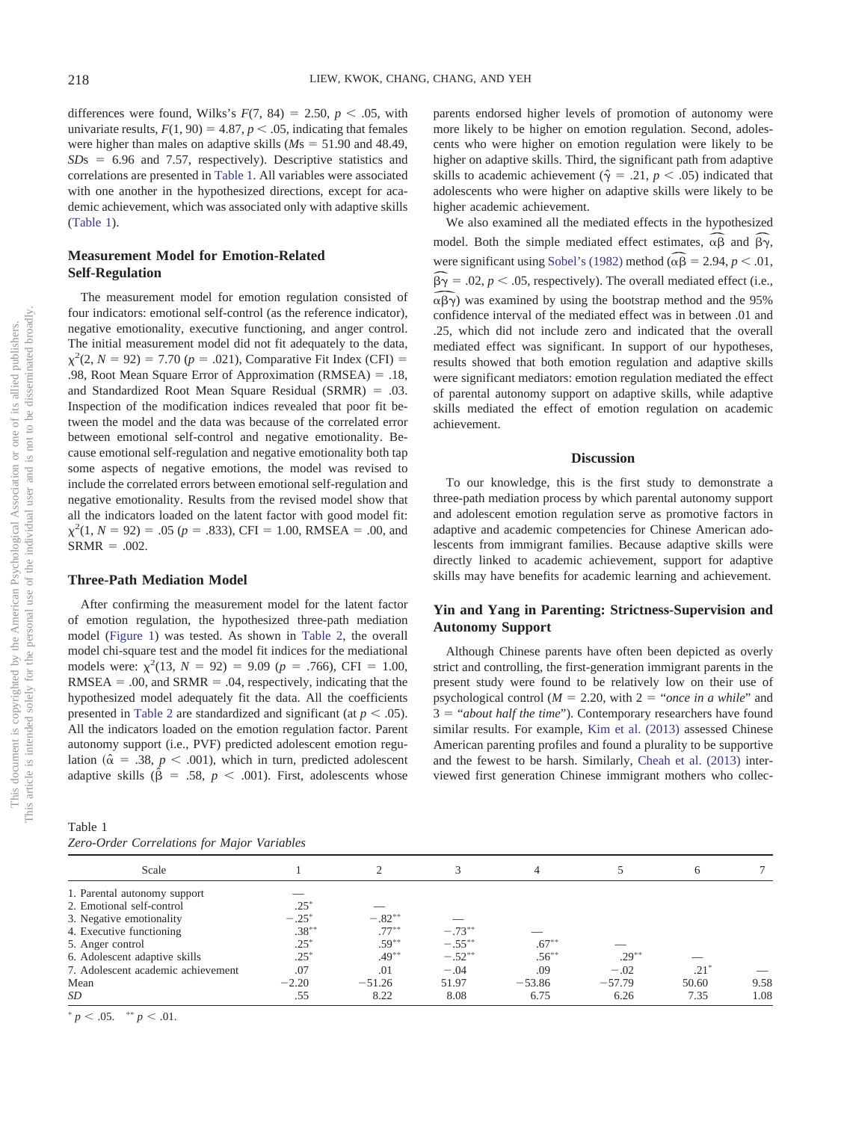differences were found, Wilks's  $F(7, 84) = 2.50, p < .05$ , with univariate results,  $F(1, 90) = 4.87$ ,  $p < .05$ , indicating that females were higher than males on adaptive skills  $(Ms = 51.90$  and 48.49,  $SDs = 6.96$  and 7.57, respectively). Descriptive statistics and correlations are presented in [Table 1.](#page-4-0) All variables were associated with one another in the hypothesized directions, except for academic achievement, which was associated only with adaptive skills [\(Table 1\)](#page-4-0).

# **Measurement Model for Emotion-Related Self-Regulation**

The measurement model for emotion regulation consisted of four indicators: emotional self-control (as the reference indicator), negative emotionality, executive functioning, and anger control. The initial measurement model did not fit adequately to the data,  $\chi^2(2, N = 92) = 7.70$  ( $p = .021$ ), Comparative Fit Index (CFI) = .98, Root Mean Square Error of Approximation (RMSEA) = .18, and Standardized Root Mean Square Residual (SRMR) = .03. Inspection of the modification indices revealed that poor fit between the model and the data was because of the correlated error between emotional self-control and negative emotionality. Because emotional self-regulation and negative emotionality both tap some aspects of negative emotions, the model was revised to include the correlated errors between emotional self-regulation and negative emotionality. Results from the revised model show that all the indicators loaded on the latent factor with good model fit:  $\chi^2(1, N = 92) = .05$  ( $p = .833$ ), CFI = 1.00, RMSEA = .00, and  $SRMR = .002$ .

## **Three-Path Mediation Model**

After confirming the measurement model for the latent factor of emotion regulation, the hypothesized three-path mediation model [\(Figure 1\)](#page-3-0) was tested. As shown in [Table 2,](#page-5-0) the overall model chi-square test and the model fit indices for the mediational models were:  $\chi^2(13, N = 92) = 9.09$  ( $p = .766$ ), CFI = 1.00,  $RMSEA = .00$ , and  $SRMR = .04$ , respectively, indicating that the hypothesized model adequately fit the data. All the coefficients presented in [Table 2](#page-5-0) are standardized and significant (at  $p < .05$ ). All the indicators loaded on the emotion regulation factor. Parent autonomy support (i.e., PVF) predicted adolescent emotion regulation ( $\hat{\alpha}$  = .38,  $p$  < .001), which in turn, predicted adolescent adaptive skills ( $\hat{\beta}$  = .58,  $p$  < .001). First, adolescents whose

<span id="page-4-0"></span>Table 1 *Zero-Order Correlations for Major Variables*

parents endorsed higher levels of promotion of autonomy were more likely to be higher on emotion regulation. Second, adolescents who were higher on emotion regulation were likely to be higher on adaptive skills. Third, the significant path from adaptive skills to academic achievement ( $\hat{\gamma} = .21$ ,  $p < .05$ ) indicated that adolescents who were higher on adaptive skills were likely to be higher academic achievement.

We also examined all the mediated effects in the hypothesized mgner academic achievement.<br>We also examined all the mediated effects in the hypothesized<br>model. Both the simple mediated effect estimates,  $\widehat{\alpha\beta}$  and  $\widehat{\beta\gamma}$ , were significant using Sobel's (1982) method ( $\widehat{\alpha\beta} = 2.94$ ,  $p < .01$ ,<br>  $\widehat{\beta\gamma} = .02$ ,  $p < .05$ , respectively). The overall mediated effect (i.e.,<br>  $\widehat{\alpha\beta\gamma}$ ) was examined by using the bootstrap method and the 95%  $\frac{1}{\alpha \beta}$  =  $\widehat{\beta\gamma} = .02$ ,  $p < .05$ , respectively). The overall mediated effect (i.e.,  $\alpha\beta\gamma$ ) was examined by using the bootstrap method and the 95% confidence interval of the mediated effect was in between .01 and .25, which did not include zero and indicated that the overall mediated effect was significant. In support of our hypotheses, results showed that both emotion regulation and adaptive skills were significant mediators: emotion regulation mediated the effect of parental autonomy support on adaptive skills, while adaptive skills mediated the effect of emotion regulation on academic achievement.

## **Discussion**

To our knowledge, this is the first study to demonstrate a three-path mediation process by which parental autonomy support and adolescent emotion regulation serve as promotive factors in adaptive and academic competencies for Chinese American adolescents from immigrant families. Because adaptive skills were directly linked to academic achievement, support for adaptive skills may have benefits for academic learning and achievement.

# **Yin and Yang in Parenting: Strictness-Supervision and Autonomy Support**

Although Chinese parents have often been depicted as overly strict and controlling, the first-generation immigrant parents in the present study were found to be relatively low on their use of psychological control ( $M = 2.20$ , with  $2 = \text{``once in a while''}$  and 3 = "*about half the time*"). Contemporary researchers have found similar results. For example, [Kim et al. \(2013\)](#page-7-0) assessed Chinese American parenting profiles and found a plurality to be supportive and the fewest to be harsh. Similarly, [Cheah et al. \(2013\)](#page-6-10) interviewed first generation Chinese immigrant mothers who collec-

| Scale                              |          |          |           |          |          | 6      |      |
|------------------------------------|----------|----------|-----------|----------|----------|--------|------|
| 1. Parental autonomy support       |          |          |           |          |          |        |      |
| 2. Emotional self-control          | $.25*$   |          |           |          |          |        |      |
| 3. Negative emotionality           | $-.25*$  | $-.82**$ |           |          |          |        |      |
| 4. Executive functioning           | $.38***$ | $.77***$ | $-.73***$ |          |          |        |      |
| 5. Anger control                   | $.25*$   | $.59***$ | $-.55***$ | $.67***$ |          |        |      |
| 6. Adolescent adaptive skills      | $.25*$   | $.49***$ | $-.52**$  | $.56***$ | $.29***$ |        |      |
| 7. Adolescent academic achievement | .07      | .01      | $-.04$    | .09      | $-.02$   | $.21*$ |      |
| Mean                               | $-2.20$  | $-51.26$ | 51.97     | $-53.86$ | $-57.79$ | 50.60  | 9.58 |
| SD                                 | .55      | 8.22     | 8.08      | 6.75     | 6.26     | 7.35   | 1.08 |

 $p < .05.$  \*\*  $p < .01.$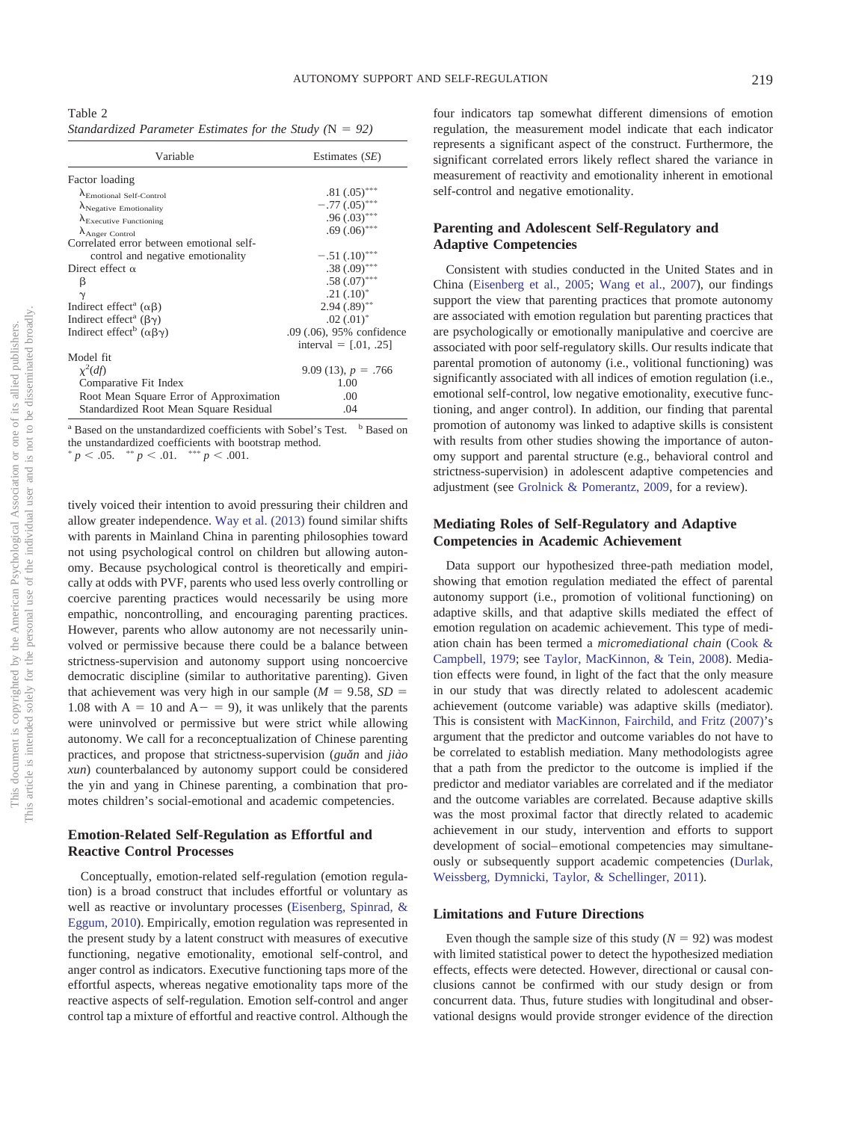<span id="page-5-0"></span>Table 2 Standardized Parameter Estimates for the Study (N = 92)

| Variable                                             | Estimates $(SE)$          |  |  |
|------------------------------------------------------|---------------------------|--|--|
| Factor loading                                       |                           |  |  |
| $\Lambda_{\text{Emotional Self-Control}}$            | $.81(.05)$ ***            |  |  |
| $\lambda_{\text{Negative Emotionality}}$             | $-.77(.05)$ ***           |  |  |
| $\lambda_{\text{Execute Functioning}}$               | $.96(.03)$ ***            |  |  |
| $\Lambda$ Anger Control                              | $.69(.06)$ ***            |  |  |
| Correlated error between emotional self-             |                           |  |  |
| control and negative emotionality                    | $-.51(.10)$ ***           |  |  |
| Direct effect $\alpha$                               | $.38(.09)$ ***            |  |  |
| β                                                    | $.58(.07)$ ***            |  |  |
|                                                      | $.21(.10)^*$              |  |  |
| Indirect effect <sup>a</sup> ( $\alpha\beta$ )       | $2.94(.89)$ **            |  |  |
| Indirect effect <sup>a</sup> ( $\beta\gamma$ )       | $.02$ $(.01)^*$           |  |  |
| Indirect effect <sup>b</sup> ( $\alpha\beta\gamma$ ) | .09 (.06), 95% confidence |  |  |
|                                                      | interval = $[0.01, 0.25]$ |  |  |
| Model fit                                            |                           |  |  |
| $\chi^2(df)$                                         | 9.09 (13), $p = .766$     |  |  |
| Comparative Fit Index                                | 1.00                      |  |  |
| Root Mean Square Error of Approximation              | .00                       |  |  |
| Standardized Root Mean Square Residual               | .04                       |  |  |

 $a$  Based on the unstandardized coefficients with Sobel's Test.  $b$  Based on the unstandardized coefficients with bootstrap method.<br> $\sum_{n=1}^{\infty} 0.05$   $\sum_{n=1}^{\infty} 0.01$   $\sum_{n=1}^{\infty} 0.01$  $p < .05$ .  $p < .01.$  \*\*\*  $p < .001.$ 

tively voiced their intention to avoid pressuring their children and allow greater independence. [Way et al. \(2013\)](#page-8-0) found similar shifts with parents in Mainland China in parenting philosophies toward not using psychological control on children but allowing autonomy. Because psychological control is theoretically and empirically at odds with PVF, parents who used less overly controlling or coercive parenting practices would necessarily be using more empathic, noncontrolling, and encouraging parenting practices. However, parents who allow autonomy are not necessarily uninvolved or permissive because there could be a balance between strictness-supervision and autonomy support using noncoercive democratic discipline (similar to authoritative parenting). Given that achievement was very high in our sample  $(M = 9.58, SD =$ 1.08 with  $A = 10$  and  $A - = 9$ ), it was unlikely that the parents were uninvolved or permissive but were strict while allowing autonomy. We call for a reconceptualization of Chinese parenting practices, and propose that strictness-supervision (*guǎn* and *jiào xun*) counterbalanced by autonomy support could be considered the yin and yang in Chinese parenting, a combination that promotes children's social-emotional and academic competencies.

## **Emotion-Related Self-Regulation as Effortful and Reactive Control Processes**

Conceptually, emotion-related self-regulation (emotion regulation) is a broad construct that includes effortful or voluntary as well as reactive or involuntary processes [\(Eisenberg, Spinrad, &](#page-6-20) [Eggum, 2010\)](#page-6-20). Empirically, emotion regulation was represented in the present study by a latent construct with measures of executive functioning, negative emotionality, emotional self-control, and anger control as indicators. Executive functioning taps more of the effortful aspects, whereas negative emotionality taps more of the reactive aspects of self-regulation. Emotion self-control and anger control tap a mixture of effortful and reactive control. Although the

four indicators tap somewhat different dimensions of emotion regulation, the measurement model indicate that each indicator represents a significant aspect of the construct. Furthermore, the significant correlated errors likely reflect shared the variance in measurement of reactivity and emotionality inherent in emotional self-control and negative emotionality.

# **Parenting and Adolescent Self-Regulatory and Adaptive Competencies**

Consistent with studies conducted in the United States and in China [\(Eisenberg et al., 2005;](#page-6-17) [Wang et al., 2007\)](#page-7-10), our findings support the view that parenting practices that promote autonomy are associated with emotion regulation but parenting practices that are psychologically or emotionally manipulative and coercive are associated with poor self-regulatory skills. Our results indicate that parental promotion of autonomy (i.e., volitional functioning) was significantly associated with all indices of emotion regulation (i.e., emotional self-control, low negative emotionality, executive functioning, and anger control). In addition, our finding that parental promotion of autonomy was linked to adaptive skills is consistent with results from other studies showing the importance of autonomy support and parental structure (e.g., behavioral control and strictness-supervision) in adolescent adaptive competencies and adjustment (see [Grolnick & Pomerantz, 2009,](#page-7-7) for a review).

# **Mediating Roles of Self-Regulatory and Adaptive Competencies in Academic Achievement**

Data support our hypothesized three-path mediation model, showing that emotion regulation mediated the effect of parental autonomy support (i.e., promotion of volitional functioning) on adaptive skills, and that adaptive skills mediated the effect of emotion regulation on academic achievement. This type of mediation chain has been termed a *micromediational chain* [\(Cook &](#page-6-25) [Campbell, 1979;](#page-6-25) see [Taylor, MacKinnon, & Tein, 2008\)](#page-7-31). Mediation effects were found, in light of the fact that the only measure in our study that was directly related to adolescent academic achievement (outcome variable) was adaptive skills (mediator). This is consistent with [MacKinnon, Fairchild, and Fritz \(2007\)'](#page-7-33)s argument that the predictor and outcome variables do not have to be correlated to establish mediation. Many methodologists agree that a path from the predictor to the outcome is implied if the predictor and mediator variables are correlated and if the mediator and the outcome variables are correlated. Because adaptive skills was the most proximal factor that directly related to academic achievement in our study, intervention and efforts to support development of social– emotional competencies may simultaneously or subsequently support academic competencies [\(Durlak,](#page-6-26) [Weissberg, Dymnicki, Taylor, & Schellinger, 2011\)](#page-6-26).

## **Limitations and Future Directions**

Even though the sample size of this study  $(N = 92)$  was modest with limited statistical power to detect the hypothesized mediation effects, effects were detected. However, directional or causal conclusions cannot be confirmed with our study design or from concurrent data. Thus, future studies with longitudinal and observational designs would provide stronger evidence of the direction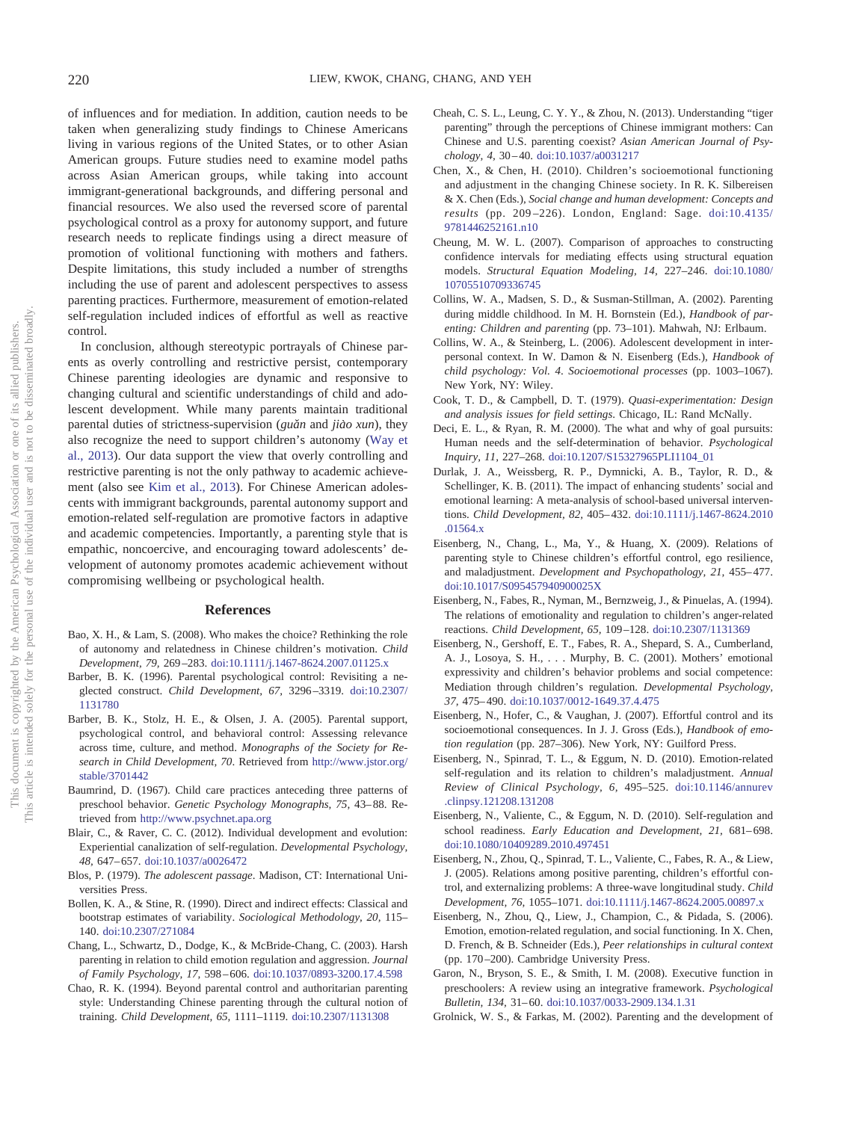of influences and for mediation. In addition, caution needs to be taken when generalizing study findings to Chinese Americans living in various regions of the United States, or to other Asian American groups. Future studies need to examine model paths across Asian American groups, while taking into account immigrant-generational backgrounds, and differing personal and financial resources. We also used the reversed score of parental psychological control as a proxy for autonomy support, and future research needs to replicate findings using a direct measure of promotion of volitional functioning with mothers and fathers. Despite limitations, this study included a number of strengths including the use of parent and adolescent perspectives to assess parenting practices. Furthermore, measurement of emotion-related self-regulation included indices of effortful as well as reactive control.

In conclusion, although stereotypic portrayals of Chinese parents as overly controlling and restrictive persist, contemporary Chinese parenting ideologies are dynamic and responsive to changing cultural and scientific understandings of child and adolescent development. While many parents maintain traditional parental duties of strictness-supervision (*guǎn* and *jiào xun*), they also recognize the need to support children's autonomy [\(Way et](#page-8-0) [al., 2013\)](#page-8-0). Our data support the view that overly controlling and restrictive parenting is not the only pathway to academic achievement (also see [Kim et al., 2013\)](#page-7-0). For Chinese American adolescents with immigrant backgrounds, parental autonomy support and emotion-related self-regulation are promotive factors in adaptive and academic competencies. Importantly, a parenting style that is empathic, noncoercive, and encouraging toward adolescents' development of autonomy promotes academic achievement without compromising wellbeing or psychological health.

## **References**

- <span id="page-6-7"></span>Bao, X. H., & Lam, S. (2008). Who makes the choice? Rethinking the role of autonomy and relatedness in Chinese children's motivation. *Child Development, 79,* 269 –283. [doi:10.1111/j.1467-8624.2007.01125.x](http://dx.doi.org/10.1111/j.1467-8624.2007.01125.x)
- <span id="page-6-8"></span>Barber, B. K. (1996). Parental psychological control: Revisiting a neglected construct. *Child Development, 67,* 3296 –3319. [doi:10.2307/](http://dx.doi.org/10.2307/1131780) [1131780](http://dx.doi.org/10.2307/1131780)
- <span id="page-6-9"></span>Barber, B. K., Stolz, H. E., & Olsen, J. A. (2005). Parental support, psychological control, and behavioral control: Assessing relevance across time, culture, and method. *Monographs of the Society for Research in Child Development, 70*. Retrieved from [http://www.jstor.org/](http://www.jstor.org/stable/3701442) [stable/3701442](http://www.jstor.org/stable/3701442)
- <span id="page-6-1"></span>Baumrind, D. (1967). Child care practices anteceding three patterns of preschool behavior. *Genetic Psychology Monographs, 75,* 43– 88. Retrieved from <http://www.psychnet.apa.org>
- <span id="page-6-14"></span>Blair, C., & Raver, C. C. (2012). Individual development and evolution: Experiential canalization of self-regulation. *Developmental Psychology, 48,* 647– 657. [doi:10.1037/a0026472](http://dx.doi.org/10.1037/a0026472)
- <span id="page-6-12"></span>Blos, P. (1979). *The adolescent passage*. Madison, CT: International Universities Press.
- <span id="page-6-23"></span>Bollen, K. A., & Stine, R. (1990). Direct and indirect effects: Classical and bootstrap estimates of variability. *Sociological Methodology, 20,* 115– 140. [doi:10.2307/271084](http://dx.doi.org/10.2307/271084)
- <span id="page-6-18"></span>Chang, L., Schwartz, D., Dodge, K., & McBride-Chang, C. (2003). Harsh parenting in relation to child emotion regulation and aggression. *Journal of Family Psychology, 17,* 598 – 606. [doi:10.1037/0893-3200.17.4.598](http://dx.doi.org/10.1037/0893-3200.17.4.598)
- <span id="page-6-5"></span>Chao, R. K. (1994). Beyond parental control and authoritarian parenting style: Understanding Chinese parenting through the cultural notion of training. *Child Development, 65,* 1111–1119. [doi:10.2307/1131308](http://dx.doi.org/10.2307/1131308)
- <span id="page-6-10"></span>Cheah, C. S. L., Leung, C. Y. Y., & Zhou, N. (2013). Understanding "tiger parenting" through the perceptions of Chinese immigrant mothers: Can Chinese and U.S. parenting coexist? *Asian American Journal of Psychology, 4,* 30 – 40. [doi:10.1037/a0031217](http://dx.doi.org/10.1037/a0031217)
- <span id="page-6-0"></span>Chen, X., & Chen, H. (2010). Children's socioemotional functioning and adjustment in the changing Chinese society. In R. K. Silbereisen & X. Chen (Eds.), *Social change and human development: Concepts and results* (pp. 209 –226). London, England: Sage. [doi:10.4135/](http://dx.doi.org/10.4135/9781446252161.n10) [9781446252161.n10](http://dx.doi.org/10.4135/9781446252161.n10)
- <span id="page-6-24"></span>Cheung, M. W. L. (2007). Comparison of approaches to constructing confidence intervals for mediating effects using structural equation models. *Structural Equation Modeling, 14,* 227–246. [doi:10.1080/](http://dx.doi.org/10.1080/10705510709336745) [10705510709336745](http://dx.doi.org/10.1080/10705510709336745)
- <span id="page-6-2"></span>Collins, W. A., Madsen, S. D., & Susman-Stillman, A. (2002). Parenting during middle childhood. In M. H. Bornstein (Ed.), *Handbook of parenting: Children and parenting* (pp. 73–101). Mahwah, NJ: Erlbaum.
- <span id="page-6-11"></span>Collins, W. A., & Steinberg, L. (2006). Adolescent development in interpersonal context. In W. Damon & N. Eisenberg (Eds.), *Handbook of child psychology: Vol. 4*. *Socioemotional processes* (pp. 1003–1067). New York, NY: Wiley.
- <span id="page-6-25"></span>Cook, T. D., & Campbell, D. T. (1979). *Quasi-experimentation: Design and analysis issues for field settings*. Chicago, IL: Rand McNally.
- <span id="page-6-6"></span>Deci, E. L., & Ryan, R. M. (2000). The what and why of goal pursuits: Human needs and the self-determination of behavior. *Psychological Inquiry, 11,* 227–268. [doi:10.1207/S15327965PLI1104\\_01](http://dx.doi.org/10.1207/S15327965PLI1104_01)
- <span id="page-6-26"></span>Durlak, J. A., Weissberg, R. P., Dymnicki, A. B., Taylor, R. D., & Schellinger, K. B. (2011). The impact of enhancing students' social and emotional learning: A meta-analysis of school-based universal interventions. *Child Development, 82,* 405– 432. [doi:10.1111/j.1467-8624.2010](http://dx.doi.org/10.1111/j.1467-8624.2010.01564.x) [.01564.x](http://dx.doi.org/10.1111/j.1467-8624.2010.01564.x)
- <span id="page-6-4"></span>Eisenberg, N., Chang, L., Ma, Y., & Huang, X. (2009). Relations of parenting style to Chinese children's effortful control, ego resilience, and maladjustment. *Development and Psychopathology, 21,* 455– 477. [doi:10.1017/S095457940900025X](http://dx.doi.org/10.1017/S095457940900025X)
- <span id="page-6-16"></span>Eisenberg, N., Fabes, R., Nyman, M., Bernzweig, J., & Pinuelas, A. (1994). The relations of emotionality and regulation to children's anger-related reactions. *Child Development, 65,* 109 –128. [doi:10.2307/1131369](http://dx.doi.org/10.2307/1131369)
- <span id="page-6-3"></span>Eisenberg, N., Gershoff, E. T., Fabes, R. A., Shepard, S. A., Cumberland, A. J., Losoya, S. H., . . . Murphy, B. C. (2001). Mothers' emotional expressivity and children's behavior problems and social competence: Mediation through children's regulation. *Developmental Psychology, 37,* 475– 490. [doi:10.1037/0012-1649.37.4.475](http://dx.doi.org/10.1037/0012-1649.37.4.475)
- <span id="page-6-13"></span>Eisenberg, N., Hofer, C., & Vaughan, J. (2007). Effortful control and its socioemotional consequences. In J. J. Gross (Eds.), *Handbook of emotion regulation* (pp. 287–306). New York, NY: Guilford Press.
- <span id="page-6-20"></span>Eisenberg, N., Spinrad, T. L., & Eggum, N. D. (2010). Emotion-related self-regulation and its relation to children's maladjustment. *Annual Review of Clinical Psychology, 6,* 495–525. [doi:10.1146/annurev](http://dx.doi.org/10.1146/annurev.clinpsy.121208.131208) [.clinpsy.121208.131208](http://dx.doi.org/10.1146/annurev.clinpsy.121208.131208)
- <span id="page-6-22"></span>Eisenberg, N., Valiente, C., & Eggum, N. D. (2010). Self-regulation and school readiness. *Early Education and Development*, 21, 681-698. [doi:10.1080/10409289.2010.497451](http://dx.doi.org/10.1080/10409289.2010.497451)
- <span id="page-6-17"></span>Eisenberg, N., Zhou, Q., Spinrad, T. L., Valiente, C., Fabes, R. A., & Liew, J. (2005). Relations among positive parenting, children's effortful control, and externalizing problems: A three-wave longitudinal study. *Child Development, 76,* 1055–1071. [doi:10.1111/j.1467-8624.2005.00897.x](http://dx.doi.org/10.1111/j.1467-8624.2005.00897.x)
- <span id="page-6-21"></span>Eisenberg, N., Zhou, Q., Liew, J., Champion, C., & Pidada, S. (2006). Emotion, emotion-related regulation, and social functioning. In X. Chen, D. French, & B. Schneider (Eds.), *Peer relationships in cultural context* (pp. 170 –200). Cambridge University Press.
- <span id="page-6-15"></span>Garon, N., Bryson, S. E., & Smith, I. M. (2008). Executive function in preschoolers: A review using an integrative framework. *Psychological Bulletin, 134,* 31– 60. [doi:10.1037/0033-2909.134.1.31](http://dx.doi.org/10.1037/0033-2909.134.1.31)
- <span id="page-6-19"></span>Grolnick, W. S., & Farkas, M. (2002). Parenting and the development of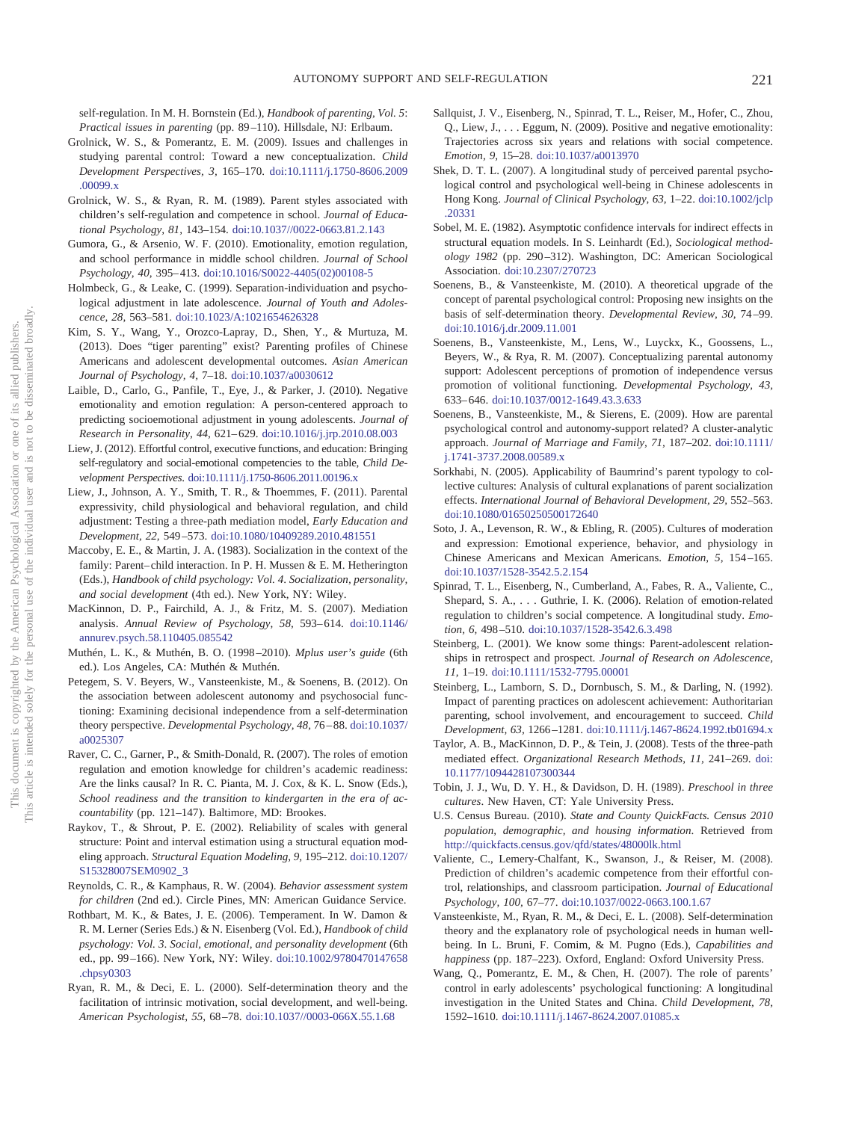self-regulation. In M. H. Bornstein (Ed.), *Handbook of parenting, Vol. 5*: *Practical issues in parenting* (pp. 89 –110). Hillsdale, NJ: Erlbaum.

- <span id="page-7-7"></span>Grolnick, W. S., & Pomerantz, E. M. (2009). Issues and challenges in studying parental control: Toward a new conceptualization. *Child Development Perspectives, 3,* 165–170. [doi:10.1111/j.1750-8606.2009](http://dx.doi.org/10.1111/j.1750-8606.2009.00099.x) [.00099.x](http://dx.doi.org/10.1111/j.1750-8606.2009.00099.x)
- <span id="page-7-11"></span>Grolnick, W. S., & Ryan, R. M. (1989). Parent styles associated with children's self-regulation and competence in school. *Journal of Educational Psychology, 81,* 143–154. [doi:10.1037//0022-0663.81.2.143](http://dx.doi.org/10.1037//0022-0663.81.2.143)
- <span id="page-7-23"></span>Gumora, G., & Arsenio, W. F. (2010). Emotionality, emotion regulation, and school performance in middle school children. *Journal of School Psychology, 40,* 395– 413. [doi:10.1016/S0022-4405\(02\)00108-5](http://dx.doi.org/10.1016/S0022-4405%2802%2900108-5)
- <span id="page-7-15"></span>Holmbeck, G., & Leake, C. (1999). Separation-individuation and psychological adjustment in late adolescence. *Journal of Youth and Adolescence, 28,* 563–581. [doi:10.1023/A:1021654626328](http://dx.doi.org/10.1023/A:1021654626328)
- <span id="page-7-0"></span>Kim, S. Y., Wang, Y., Orozco-Lapray, D., Shen, Y., & Murtuza, M. (2013). Does "tiger parenting" exist? Parenting profiles of Chinese Americans and adolescent developmental outcomes. *Asian American Journal of Psychology, 4,* 7–18. [doi:10.1037/a0030612](http://dx.doi.org/10.1037/a0030612)
- <span id="page-7-20"></span>Laible, D., Carlo, G., Panfile, T., Eye, J., & Parker, J. (2010). Negative emotionality and emotion regulation: A person-centered approach to predicting socioemotional adjustment in young adolescents. *Journal of Research in Personality, 44,* 621– 629. [doi:10.1016/j.jrp.2010.08.003](http://dx.doi.org/10.1016/j.jrp.2010.08.003)
- <span id="page-7-18"></span>Liew, J. (2012). Effortful control, executive functions, and education: Bringing self-regulatory and social-emotional competencies to the table, *Child Development Perspectives*. [doi:10.1111/j.1750-8606.2011.00196.x](http://dx.doi.org/10.1111/j.1750-8606.2011.00196.x)
- <span id="page-7-22"></span>Liew, J., Johnson, A. Y., Smith, T. R., & Thoemmes, F. (2011). Parental expressivity, child physiological and behavioral regulation, and child adjustment: Testing a three-path mediation model, *Early Education and Development, 22,* 549 –573. [doi:10.1080/10409289.2010.481551](http://dx.doi.org/10.1080/10409289.2010.481551)
- <span id="page-7-1"></span>Maccoby, E. E., & Martin, J. A. (1983). Socialization in the context of the family: Parent-child interaction. In P. H. Mussen & E. M. Hetherington (Eds.), *Handbook of child psychology: Vol. 4*. *Socialization, personality, and social development* (4th ed.). New York, NY: Wiley.
- <span id="page-7-33"></span>MacKinnon, D. P., Fairchild, A. J., & Fritz, M. S. (2007). Mediation analysis. *Annual Review of Psychology, 58,* 593– 614. [doi:10.1146/](http://dx.doi.org/10.1146/annurev.psych.58.110405.085542) [annurev.psych.58.110405.085542](http://dx.doi.org/10.1146/annurev.psych.58.110405.085542)
- <span id="page-7-29"></span>Muthén, L. K., & Muthén, B. O. (1998 –2010). *Mplus user's guide* (6th ed.). Los Angeles, CA: Muthén & Muthén.
- <span id="page-7-14"></span>Petegem, S. V. Beyers, W., Vansteenkiste, M., & Soenens, B. (2012). On the association between adolescent autonomy and psychosocial functioning: Examining decisional independence from a self-determination theory perspective. *Developmental Psychology, 48,* 76 – 88. [doi:10.1037/](http://dx.doi.org/10.1037/a0025307) [a0025307](http://dx.doi.org/10.1037/a0025307)
- <span id="page-7-25"></span>Raver, C. C., Garner, P., & Smith-Donald, R. (2007). The roles of emotion regulation and emotion knowledge for children's academic readiness: Are the links causal? In R. C. Pianta, M. J. Cox, & K. L. Snow (Eds.), *School readiness and the transition to kindergarten in the era of accountability* (pp. 121–147). Baltimore, MD: Brookes.
- <span id="page-7-32"></span>Raykov, T., & Shrout, P. E. (2002). Reliability of scales with general structure: Point and interval estimation using a structural equation modeling approach. *Structural Equation Modeling, 9,* 195–212. [doi:10.1207/](http://dx.doi.org/10.1207/S15328007SEM0902_3) [S15328007SEM0902\\_3](http://dx.doi.org/10.1207/S15328007SEM0902_3)
- <span id="page-7-28"></span>Reynolds, C. R., & Kamphaus, R. W. (2004). *Behavior assessment system for children* (2nd ed.). Circle Pines, MN: American Guidance Service.
- <span id="page-7-19"></span>Rothbart, M. K., & Bates, J. E. (2006). Temperament. In W. Damon & R. M. Lerner (Series Eds.) & N. Eisenberg (Vol. Ed.), *Handbook of child psychology: Vol. 3*. *Social, emotional, and personality development* (6th ed., pp. 99 –166). New York, NY: Wiley. [doi:10.1002/9780470147658](http://dx.doi.org/10.1002/9780470147658.chpsy0303) [.chpsy0303](http://dx.doi.org/10.1002/9780470147658.chpsy0303)
- <span id="page-7-5"></span>Ryan, R. M., & Deci, E. L. (2000). Self-determination theory and the facilitation of intrinsic motivation, social development, and well-being. *American Psychologist, 55,* 68 –78. [doi:10.1037//0003-066X.55.1.68](http://dx.doi.org/10.1037//0003-066X.55.1.68)
- <span id="page-7-21"></span>Sallquist, J. V., Eisenberg, N., Spinrad, T. L., Reiser, M., Hofer, C., Zhou, Q., Liew, J.,... Eggum, N. (2009). Positive and negative emotionality: Trajectories across six years and relations with social competence. *Emotion, 9,* 15–28. [doi:10.1037/a0013970](http://dx.doi.org/10.1037/a0013970)
- <span id="page-7-9"></span>Shek, D. T. L. (2007). A longitudinal study of perceived parental psychological control and psychological well-being in Chinese adolescents in Hong Kong. *Journal of Clinical Psychology, 63,* 1–22. [doi:10.1002/jclp](http://dx.doi.org/10.1002/jclp.20331) [.20331](http://dx.doi.org/10.1002/jclp.20331)
- <span id="page-7-30"></span>Sobel, M. E. (1982). Asymptotic confidence intervals for indirect effects in structural equation models. In S. Leinhardt (Ed.), *Sociological methodology 1982* (pp. 290 –312). Washington, DC: American Sociological Association. [doi:10.2307/270723](http://dx.doi.org/10.2307/270723)
- <span id="page-7-13"></span>Soenens, B., & Vansteenkiste, M. (2010). A theoretical upgrade of the concept of parental psychological control: Proposing new insights on the basis of self-determination theory. *Developmental Review, 30,* 74 –99. [doi:10.1016/j.dr.2009.11.001](http://dx.doi.org/10.1016/j.dr.2009.11.001)
- <span id="page-7-16"></span>Soenens, B., Vansteenkiste, M., Lens, W., Luyckx, K., Goossens, L., Beyers, W., & Rya, R. M. (2007). Conceptualizing parental autonomy support: Adolescent perceptions of promotion of independence versus promotion of volitional functioning. *Developmental Psychology, 43,* 633– 646. [doi:10.1037/0012-1649.43.3.633](http://dx.doi.org/10.1037/0012-1649.43.3.633)
- <span id="page-7-17"></span>Soenens, B., Vansteenkiste, M., & Sierens, E. (2009). How are parental psychological control and autonomy-support related? A cluster-analytic approach. *Journal of Marriage and Family, 71,* 187–202. [doi:10.1111/](http://dx.doi.org/10.1111/j.1741-3737.2008.00589.x) [j.1741-3737.2008.00589.x](http://dx.doi.org/10.1111/j.1741-3737.2008.00589.x)
- <span id="page-7-4"></span>Sorkhabi, N. (2005). Applicability of Baumrind's parent typology to collective cultures: Analysis of cultural explanations of parent socialization effects. *International Journal of Behavioral Development, 29,* 552–563. [doi:10.1080/01650250500172640](http://dx.doi.org/10.1080/01650250500172640)
- <span id="page-7-2"></span>Soto, J. A., Levenson, R. W., & Ebling, R. (2005). Cultures of moderation and expression: Emotional experience, behavior, and physiology in Chinese Americans and Mexican Americans. *Emotion, 5,* 154 –165. [doi:10.1037/1528-3542.5.2.154](http://dx.doi.org/10.1037/1528-3542.5.2.154)
- <span id="page-7-24"></span>Spinrad, T. L., Eisenberg, N., Cumberland, A., Fabes, R. A., Valiente, C., Shepard, S. A.,... Guthrie, I. K. (2006). Relation of emotion-related regulation to children's social competence. A longitudinal study. *Emotion, 6,* 498 –510. [doi:10.1037/1528-3542.6.3.498](http://dx.doi.org/10.1037/1528-3542.6.3.498)
- <span id="page-7-12"></span>Steinberg, L. (2001). We know some things: Parent-adolescent relationships in retrospect and prospect. *Journal of Research on Adolescence, 11,* 1–19. [doi:10.1111/1532-7795.00001](http://dx.doi.org/10.1111/1532-7795.00001)
- <span id="page-7-8"></span>Steinberg, L., Lamborn, S. D., Dornbusch, S. M., & Darling, N. (1992). Impact of parenting practices on adolescent achievement: Authoritarian parenting, school involvement, and encouragement to succeed. *Child Development, 63,* 1266 –1281. [doi:10.1111/j.1467-8624.1992.tb01694.x](http://dx.doi.org/10.1111/j.1467-8624.1992.tb01694.x)
- <span id="page-7-31"></span>Taylor, A. B., MacKinnon, D. P., & Tein, J. (2008). Tests of the three-path mediated effect. *Organizational Research Methods, 11,* 241–269. [doi:](http://dx.doi.org/10.1177/1094428107300344) [10.1177/1094428107300344](http://dx.doi.org/10.1177/1094428107300344)
- <span id="page-7-3"></span>Tobin, J. J., Wu, D. Y. H., & Davidson, D. H. (1989). *Preschool in three cultures*. New Haven, CT: Yale University Press.
- <span id="page-7-27"></span>U.S. Census Bureau. (2010). *State and County QuickFacts. Census 2010 population, demographic, and housing information*. Retrieved from <http://quickfacts.census.gov/qfd/states/48000lk.html>
- <span id="page-7-26"></span>Valiente, C., Lemery-Chalfant, K., Swanson, J., & Reiser, M. (2008). Prediction of children's academic competence from their effortful control, relationships, and classroom participation. *Journal of Educational Psychology, 100,* 67–77. [doi:10.1037/0022-0663.100.1.67](http://dx.doi.org/10.1037/0022-0663.100.1.67)
- <span id="page-7-6"></span>Vansteenkiste, M., Ryan, R. M., & Deci, E. L. (2008). Self-determination theory and the explanatory role of psychological needs in human wellbeing. In L. Bruni, F. Comim, & M. Pugno (Eds.), *Capabilities and happiness* (pp. 187–223). Oxford, England: Oxford University Press.
- <span id="page-7-10"></span>Wang, Q., Pomerantz, E. M., & Chen, H. (2007). The role of parents' control in early adolescents' psychological functioning: A longitudinal investigation in the United States and China. *Child Development, 78,* 1592–1610. [doi:10.1111/j.1467-8624.2007.01085.x](http://dx.doi.org/10.1111/j.1467-8624.2007.01085.x)